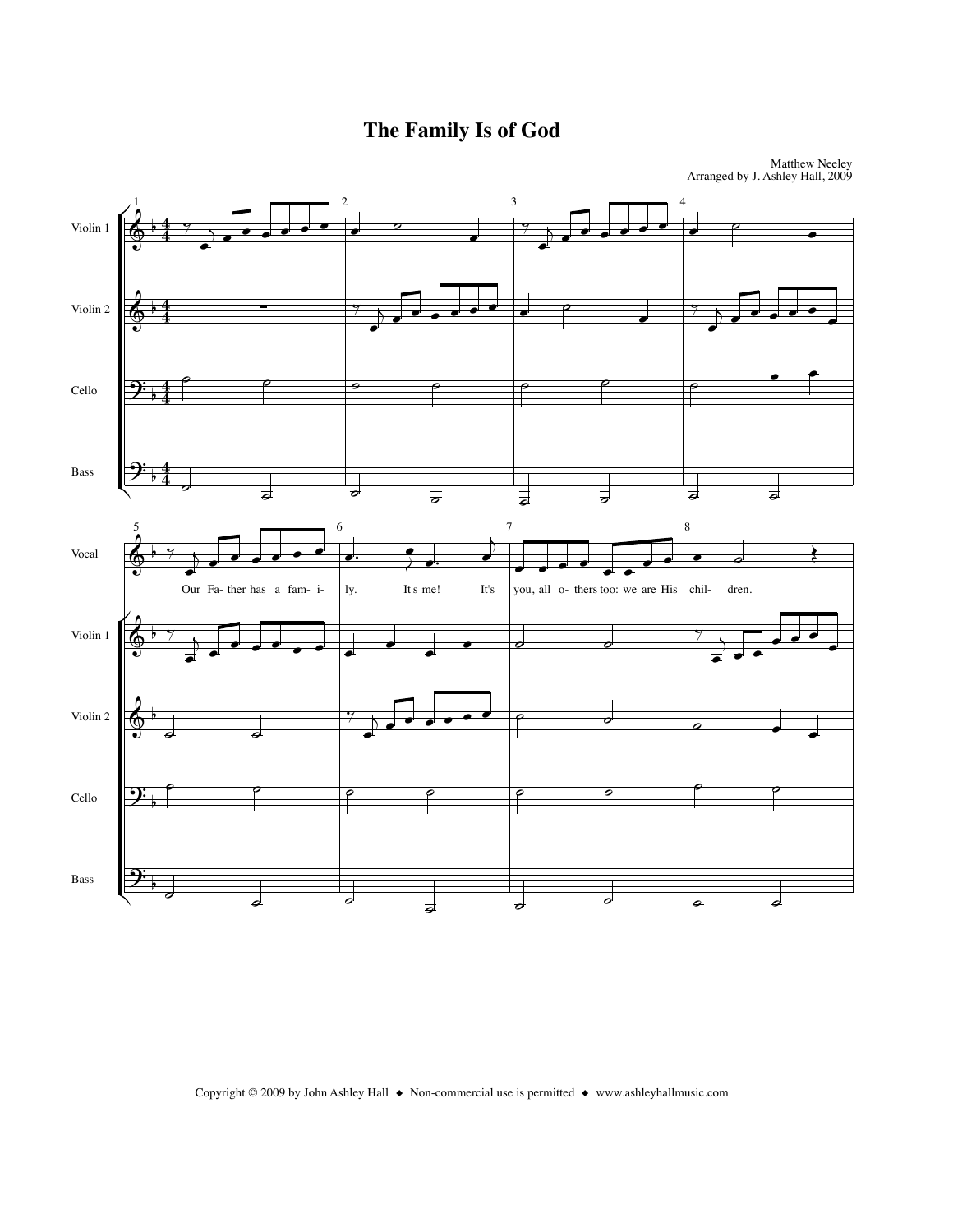The Family Is of God



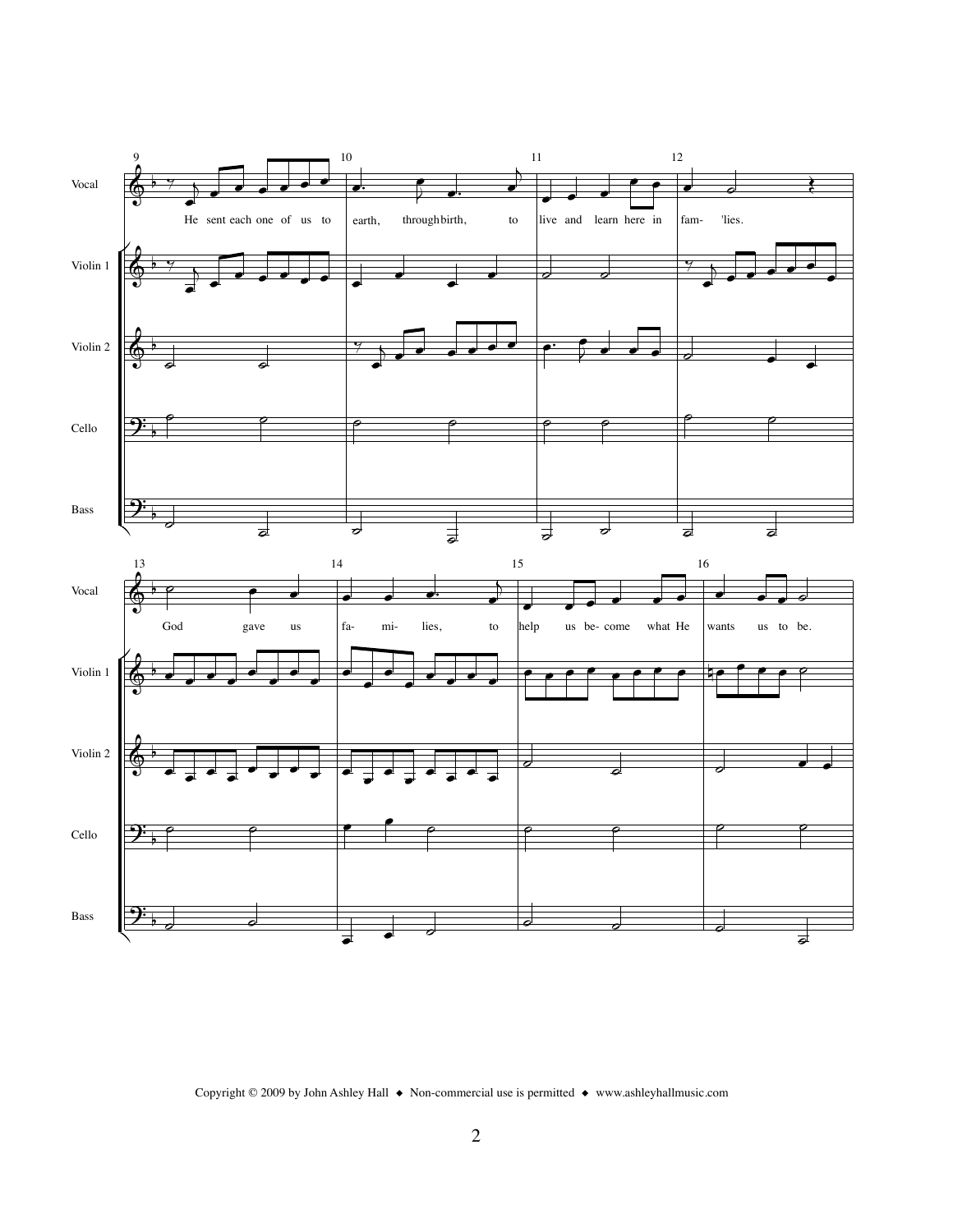

Copyright © 2009 by John Ashley Hall ◆ Non-commercial use is permitted ◆ www.ashleyhallmusic.com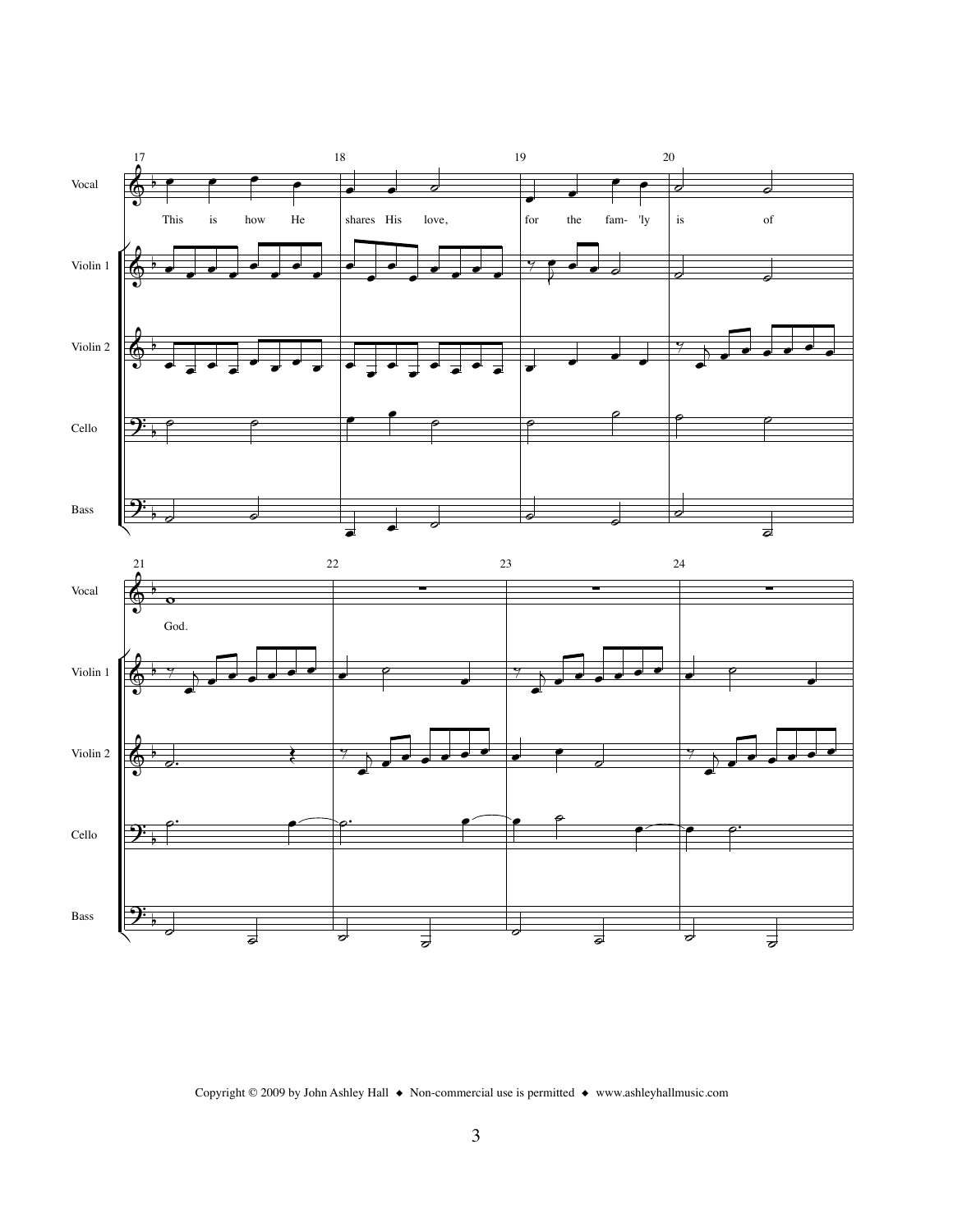

Copyright © 2009 by John Ashley Hall  $\bullet$  Non-commercial use is permitted  $\bullet$  www.ashleyhallmusic.com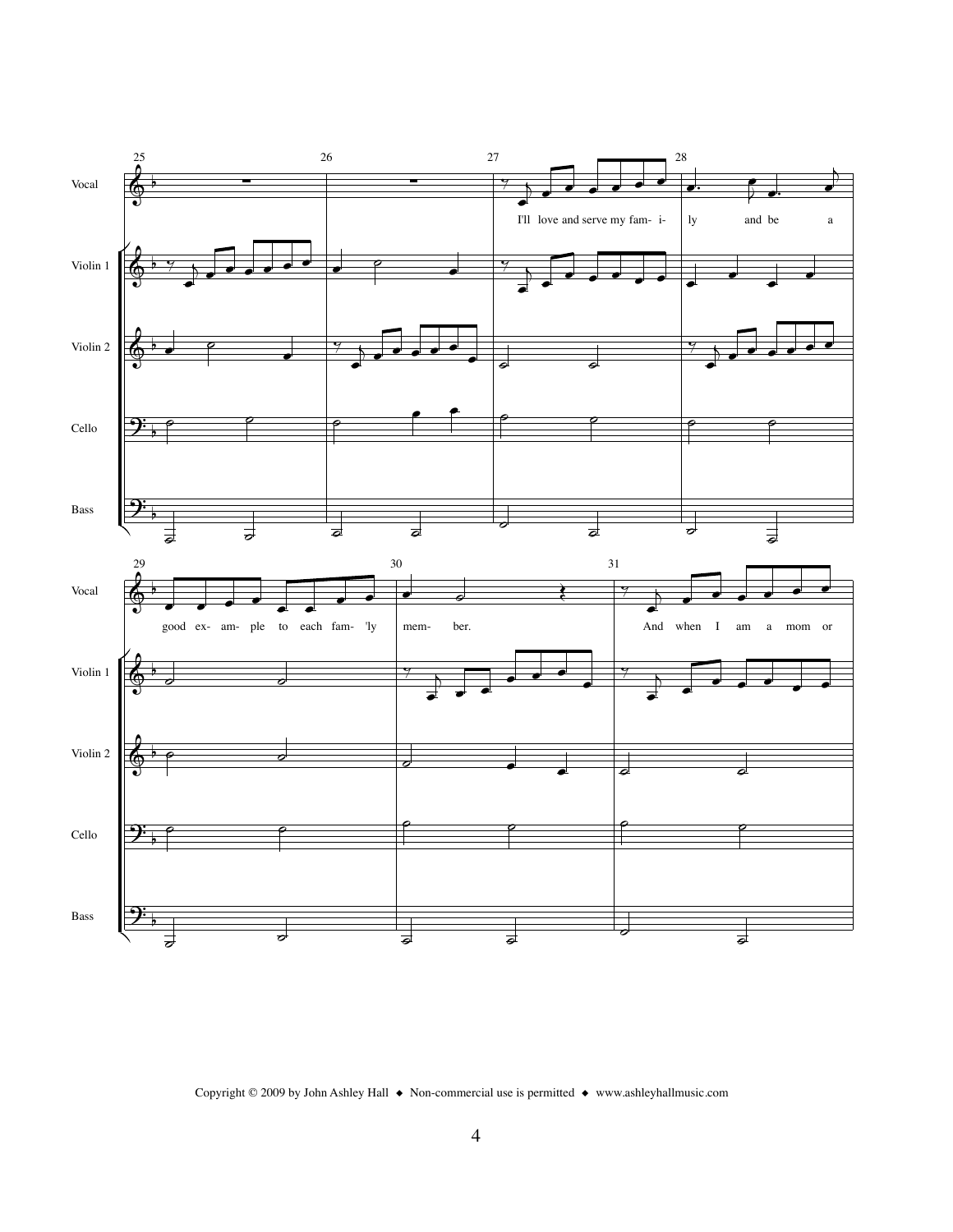

Copyright © 2009 by John Ashley Hall  $\bullet$  Non-commercial use is permitted  $\bullet$  www.ashleyhallmusic.com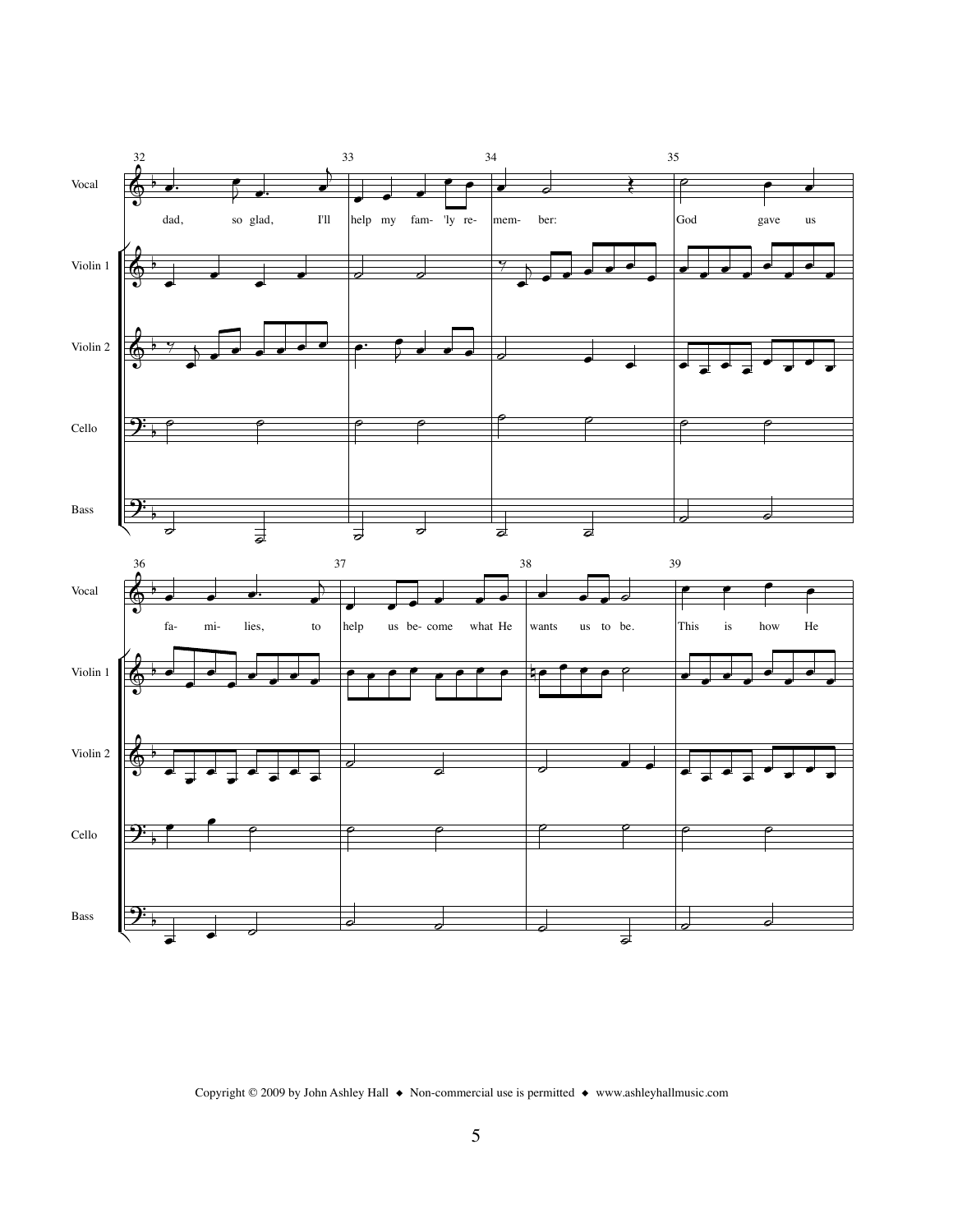

Copyright © 2009 by John Ashley Hall  $\bullet$  Non-commercial use is permitted  $\bullet$  www.ashleyhallmusic.com